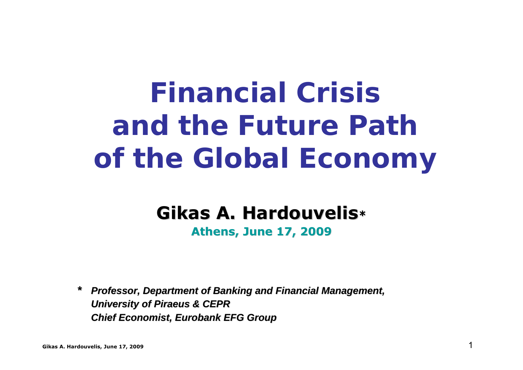# *Financial Crisisand the Future Pathof the Global Economy*

## **Gikas A. Hardouvelis\***

#### **Athens, June 17, 200 Athens, June 17, 2009**

*\* Professor, Department of Banking and Financial Management, Professor, Department of Banking and Financial Management, University of Piraeus & CEPR University of Piraeus & CEPR Chief Economist, Eurobank EFG Group Chief Economist, Eurobank EFG Group*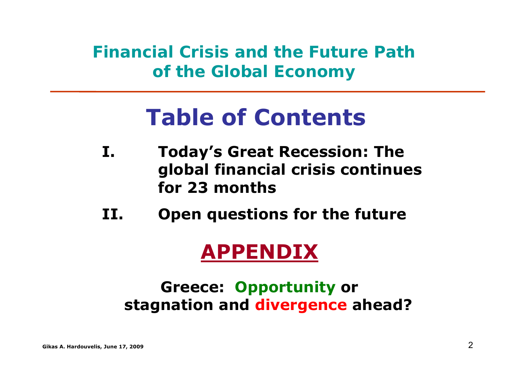*Financial Crisis and the Future Pathof the Global Economy*

# **Table of Contents**

- **I. Today's Great Recession: The global financial crisis continues for 23 months**
- **II.Open questions for the future**

## **APPENDIX**

### **Greece: Opportunity or stagnation and divergence ahead?**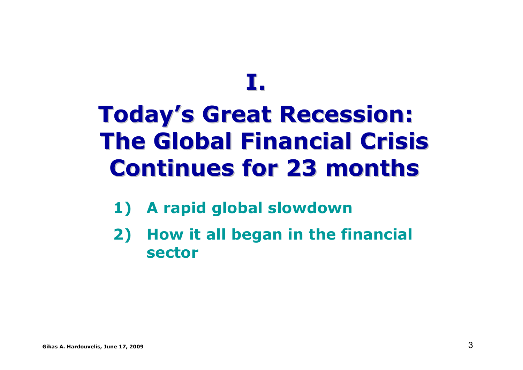# **I.**

# **Today's Great Recession: The Global Financial Crisis Continues for 23 months Continues for 23 months**

- **1) A rapid global slowdown**
- **2) How it all began in the financial sector**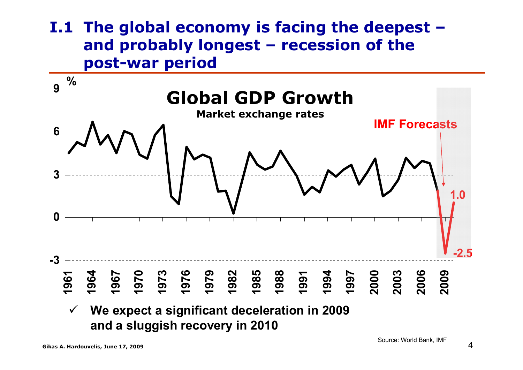#### **Ι.1 The global economy is facing the deepest – and probably longest – recession of the post-war period**

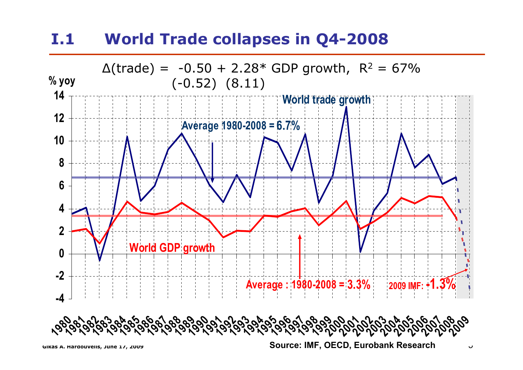#### **Ι.1 World Trade collapses in Q4-2008**

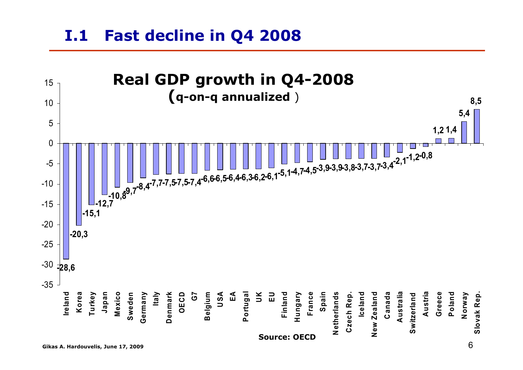#### **Ι.1Fast decline in Q4 2008**

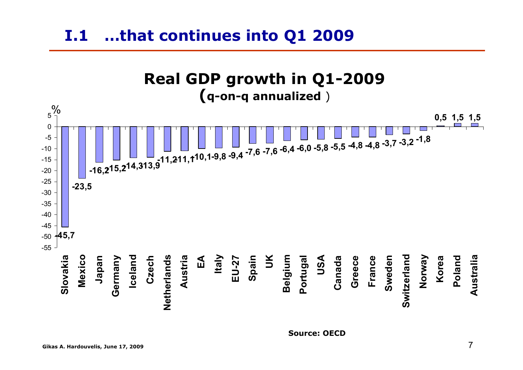#### **Ι.1 …that continues into Q1 2009**



**Source: OECD**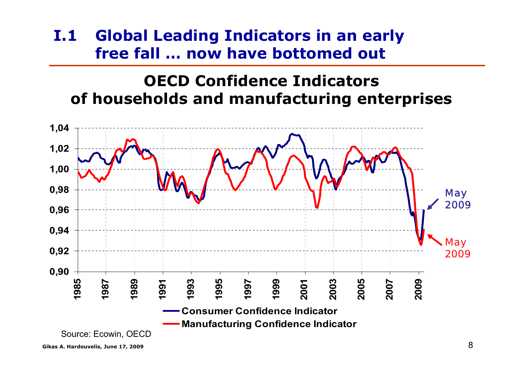#### **Ι.1 Global Leading Indicators in an early free fall … now have bottomed out**

#### **OECD Confidence Indicatorsof households and manufacturing enterprises**

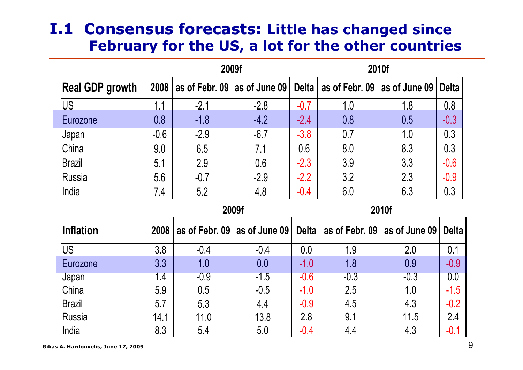#### **I.1 Consensus forecasts: Little has changed since February for the US, a lot for the other countries**

|                        |        | 2009f                        |                              |              |                              | 2010f         |              |
|------------------------|--------|------------------------------|------------------------------|--------------|------------------------------|---------------|--------------|
| <b>Real GDP growth</b> | 2008   | as of Febr. 09 as of June 09 |                              | <b>Delta</b> | as of Febr. 09 as of June 09 |               | <b>Delta</b> |
| <b>US</b>              | 1.1    | $-2.1$                       | $-2.8$                       | $-0.7$       | 1.0                          | <u>1.8</u>    | 0.8          |
| Eurozone               | 0.8    | $-1.8$                       | $-4.2$                       | $-2.4$       | 0.8                          | 0.5           | $-0.3$       |
| Japan                  | $-0.6$ | $-2.9$                       | $-6.7$                       | $-3.8$       | 0.7                          | 1.0           | 0.3          |
| China                  | 9.0    | 6.5                          | 7.1                          | 0.6          | 8.0                          | 8.3           | 0.3          |
| <b>Brazil</b>          | 5.1    | 2.9                          | 0.6                          | $-2.3$       | 3.9                          | 3.3           | $-0.6$       |
| <b>Russia</b>          | 5.6    | $-0.7$                       | $-2.9$                       | $-2.2$       | 3.2                          | 2.3           | $-0.9$       |
| India                  | 7.4    | 5.2                          | 4.8                          | $-0.4$       | 6.0                          | 6.3           | 0.3          |
|                        |        |                              |                              |              |                              |               |              |
|                        |        |                              | 2009f                        |              |                              | 2010f         |              |
| <b>Inflation</b>       | 2008   |                              | as of Febr. 09 as of June 09 | <b>Delta</b> | as of Febr. 09               | as of June 09 | <b>Delta</b> |
| <b>US</b>              | 3.8    | $-0.4$                       | $-0.4$                       | 0.0          | 1.9                          | 2.0           | 0.1          |
| Eurozone               | 3.3    | 1.0                          | 0.0                          | $-1.0$       | 1.8                          | 0.9           | $-0.9$       |
| Japan                  | 1.4    | $-0.9$                       | $-1.5$                       | $-0.6$       | $-0.3$                       | $-0.3$        | 0.0          |
| China                  | 5.9    | 0.5                          | $-0.5$                       | $-1.0$       | 2.5                          | 1.0           | $-1.5$       |
| <b>Brazil</b>          | 5.7    | 5.3                          | 4.4                          | $-0.9$       | 4.5                          | 4.3           | $-0.2$       |
| <b>Russia</b>          | 14.1   | 11.0                         | 13.8                         | 2.8          | 9.1                          | 11.5          | 2.4          |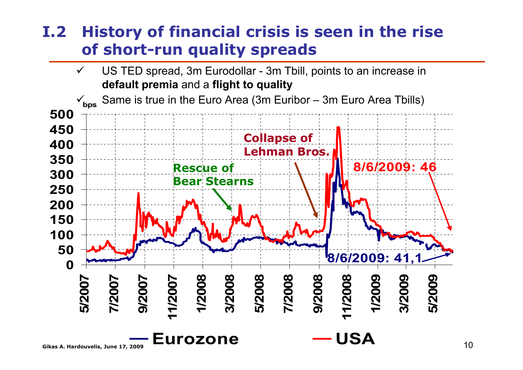#### **I.2 History of financial crisis is seen in the rise of short-run quality spreads**

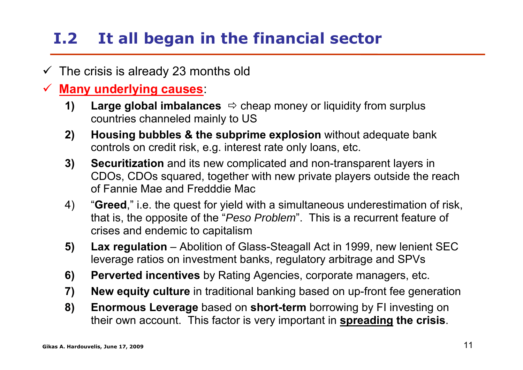## **I.2 It all began in the financial sector**

- $\checkmark$ The crisis is already 23 months old
- $\checkmark$  **Many underlying causes**:
	- **1) Large global imbalances**  $\Rightarrow$  cheap money or liquidity from surplus countries channeled mainly to US
	- **2) Housing bubbles & the subprime explosion** without adequate bank controls on credit risk, e.g. interest rate only loans, etc.
	- **3) Securitization** and its new complicated and non-transparent layers in CDOs, CDOs squared, together with new private players outside the reach of Fannie Mae and Fredddie Mac
	- 4) "**Greed**," i.e. the quest for yield with a simultaneous underestimation of risk, that is, the opposite of the "*Peso Problem*". This is a recurrent feature of crises and endemic to capitalism
	- **5) Lax regulation** Abolition of Glass-Steagall Act in 1999, new lenient SEC leverage ratios on investment banks, regulatory arbitrage and SPVs
	- **6) Perverted incentives** by Rating Agencies, corporate managers, etc.
	- **7) New equity culture** in traditional banking based on up-front fee generation
	- **8) Enormous Leverage** based on **short-term** borrowing by FI investing on their own account. This factor is very important in **spreading the crisis**.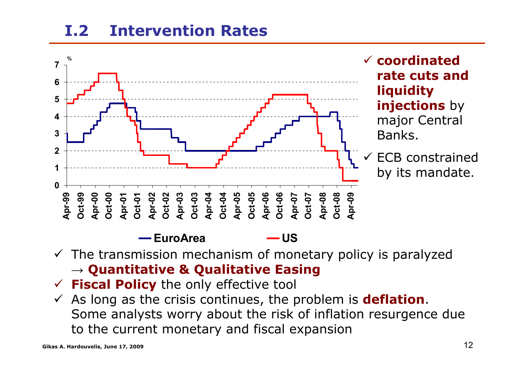#### **I.2Intervention Rates**



 $\checkmark$  The transmission mechanism of monetary policy is paralyzed **→ Quantitative & Qualitative Easing**

- 9 **Fiscal Policy** the only effective tool
- $\checkmark$  As long as the crisis continues, the problem is **deflation**. Some analysts worry about the risk of inflation resurgence due to the current monetary and fiscal expansion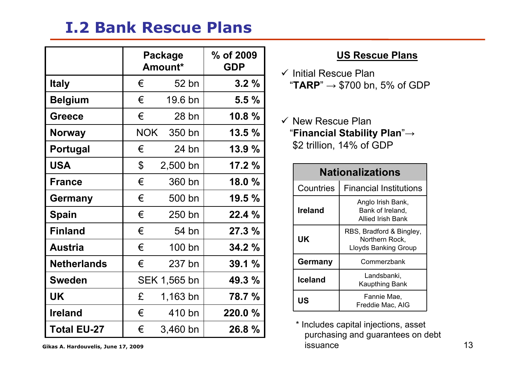#### **Ι.2 Bank Rescue Plans**

|                    |                | Package<br>Amount* | % of 2009<br><b>GDP</b> |
|--------------------|----------------|--------------------|-------------------------|
| <b>Italy</b>       | €              | 52 bn              | 3.2%                    |
| <b>Belgium</b>     | €              | 19.6 bn            | 5.5%                    |
| <b>Greece</b>      | €              | $28$ bn            | 10.8%                   |
| <b>Norway</b>      | <b>NOK</b>     | 350 bn             | 13.5%                   |
| <b>Portugal</b>    | €              | 24 bn              | 13.9 %                  |
| <b>USA</b>         | $\mathfrak{F}$ | $2,500$ bn         | 17.2 %                  |
| <b>France</b>      | €              | 360 bn             | 18.0 %                  |
| <b>Germany</b>     | €              | 500 bn             | 19.5%                   |
| <b>Spain</b>       | €              | 250 bn             | 22.4 %                  |
| <b>Finland</b>     | €              | 54 bn              | 27.3 %                  |
| <b>Austria</b>     | €              | 100 bn             | 34.2 %                  |
| <b>Netherlands</b> | €              | 237 bn             | 39.1%                   |
| <b>Sweden</b>      |                | SEK 1,565 bn       | 49.3 %                  |
| <b>UK</b>          | £              | 1,163 bn           | 78.7 %                  |
| <b>Ireland</b>     | €              | 410 bn             | 220.0 %                 |
| <b>Total EU-27</b> | €              | $3,460$ bn         | 26.8 %                  |

#### **US Rescue Plans**

- $\checkmark$  Initial Rescue Plan "**TARP**" → \$700 bn, 5% of GDP
- $\checkmark$  New Rescue Plan "**Financial Stability Plan**"<sup>→</sup> \$2 trillion, 14% of GDP

| <b>Nationalizations</b> |                                                                           |  |  |  |
|-------------------------|---------------------------------------------------------------------------|--|--|--|
| Countries               | <b>Financial Institutions</b>                                             |  |  |  |
| <b>Ireland</b>          | Anglo Irish Bank,<br>Bank of Ireland,<br>Allied Irish Bank                |  |  |  |
| UK                      | RBS, Bradford & Bingley,<br>Northern Rock,<br><b>Lloyds Banking Group</b> |  |  |  |
| Germany                 | Commerzbank                                                               |  |  |  |
| <b>Iceland</b>          | Landsbanki,<br><b>Kaupthing Bank</b>                                      |  |  |  |
| US                      | Fannie Mae,<br>Freddie Mac, AIG                                           |  |  |  |

Gikas A. Hardouvelis, June 17, 2009 **13** 13 \* Includes capital injections, asset purchasing and guarantees on debt issuance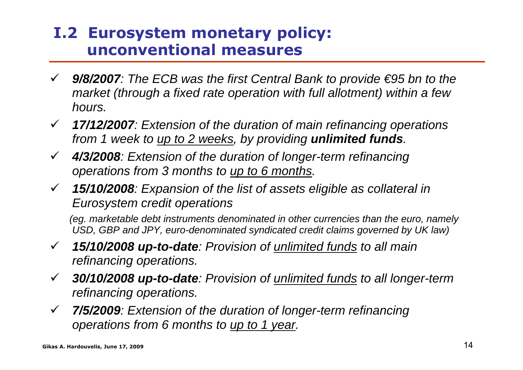#### **I.2 Eurosystem monetary policy: unconventional measures**

- 9 *9/8/2007: The ECB was the first Central Bank to provide €95 bn to the market (through a fixed rate operation with full allotment) within a few hours.*
- 9 *17/12/2007: Extension of the duration of main refinancing operations from 1 week to up to 2 weeks, by providing unlimited funds.*
- $\checkmark$  *4/3/2008: Extension of the duration of longer-term refinancing operations from 3 months to up to 6 months.*
- 9 *15/10/2008: Expansion of the list of assets eligible as collateral in Eurosystem credit operations*

*(eg. marketable debt instruments denominated in other currencies than the euro, namely USD, GBP and JPY, euro-denominated syndicated credit claims governed by UK law)* 

- $\checkmark$  *15/10/2008 up-to-date: Provision of unlimited funds to all main refinancing operations.*
- $\checkmark$  *30/10/2008 up-to-date: Provision of unlimited funds to all longer-term refinancing operations.*
- $\checkmark$  *7/5/2009: Extension of the duration of longer-term refinancing operations from 6 months to up to 1 year.*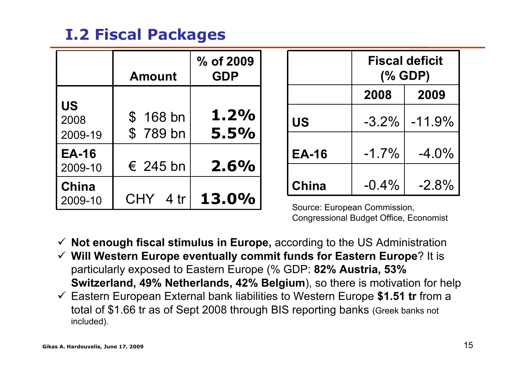### **Ι.2 Fiscal Packages**

|                              | <b>Amount</b>         | % of 2009<br><b>GDP</b> |                             |          | <b>Fiscal deficit</b><br>(% GDP) |
|------------------------------|-----------------------|-------------------------|-----------------------------|----------|----------------------------------|
|                              |                       |                         |                             | 2008     | 2009                             |
| <b>US</b><br>2008<br>2009-19 | $$168$ bn<br>\$789 bn | 1.2%<br>5.5%            | <b>US</b>                   | $-3.2\%$ | $-11.9%$                         |
| <b>EA-16</b><br>2009-10      | $\epsilon$ 245 bn     | 2.6%                    | <b>EA-16</b>                | $-1.7\%$ | $-4.0\%$                         |
| <b>China</b>                 |                       |                         | <b>China</b>                | $-0.4%$  | $-2.8%$                          |
| 2009-10                      | <b>CHY</b><br>4 tr    | 13.0%                   | Course: European Commission |          |                                  |

Source: European Commission, Congressional Budget Office, Economist

- $\checkmark$ **Not enough fiscal stimulus in Europe,** according to the US Administration
- $\checkmark$  **Will Western Europe eventually commit funds for Eastern Europe**? It is particularly exposed to Eastern Europe (% GDP: **82% Austria, 53% Switzerland, 49% Netherlands, 42% Belgium**), so there is motivation for help
- 9 Eastern European External bank liabilities to Western Europe **\$1.51 tr** from a total of \$1.66 tr as of Sept 2008 through BIS reporting banks (Greek banks not included).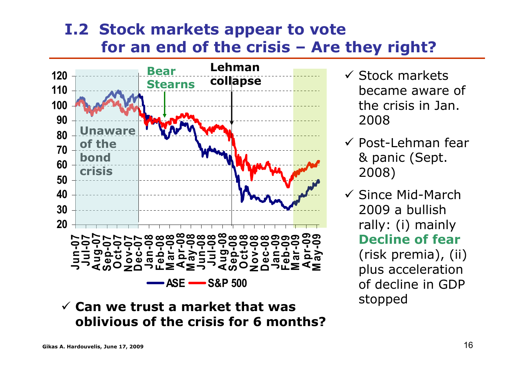#### **I.2 Stock markets appear to vote for an end of the crisis – Are they right?**



9 **Can we trust a market that was oblivious of the crisis for 6 months?**

- $\checkmark$  Stock markets became aware of the crisis in Jan. 2008
- $\checkmark$  Post-Lehman fear & panic (Sept. 2008)
- $\checkmark$  Since Mid-March 2009 a bullish rally: (i) mainly **Decline of fear**(risk premia), (ii) plus acceleration of decline in GDP stopped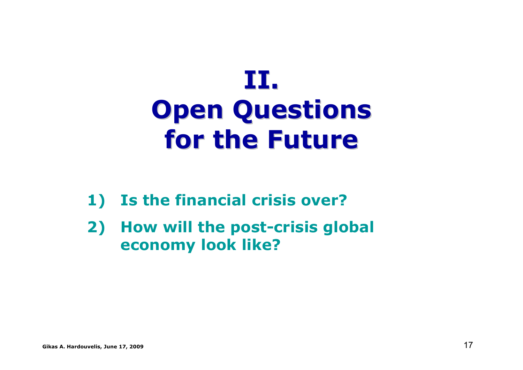# **II.Open Questions Open Questions for the Future for the Future**

- **1) Is the financial crisis over?**
- **2) How will the post-crisis global economy look like?**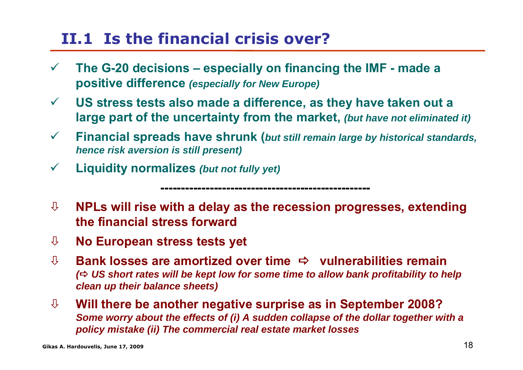### **II.1 Is the financial crisis over?**

- $\checkmark$  **The G-20 decisions – especially on financing the IMF - made a positive difference** *(especially for New Europe)*
- $\sqrt{2}$  **US stress tests also made a difference, as they have taken out a large part of the uncertainty from the market,** *(but have not eliminated it)*
- $\sqrt{2}$  **Financial spreads have shrunk (***but still remain large by historical standards, hence risk aversion is still present)*
- $\checkmark$ **Liquidity normalizes** *(but not fully yet)*

Ø **NPLs will rise with a delay as the recession progresses, extending the financial stress forward**

**---------------------------------------------------**

- Ø**No European stress tests yet**
- Ø**↓ Bank losses are amortized over time**  $\rightarrow$  **vulnerabilities remain** ( $\Leftrightarrow$  **US** short rates will be kept low for some time to allow bank profitability to help *clean up their balance sheets)*
- Ø **Will there be another negative surprise as in September 2008?**  *Some worry about the effects of (i) A sudden collapse of the dollar together with a policy mistake (ii) The commercial real estate market losses*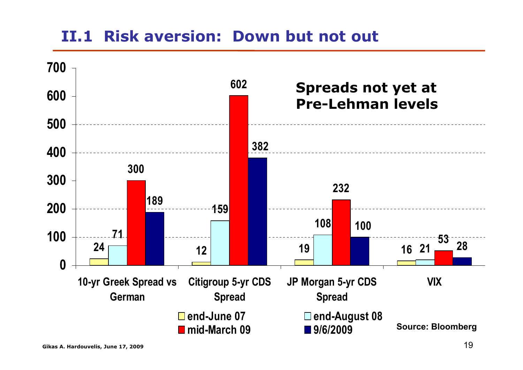### **II.1 Risk aversion: Down but not out**

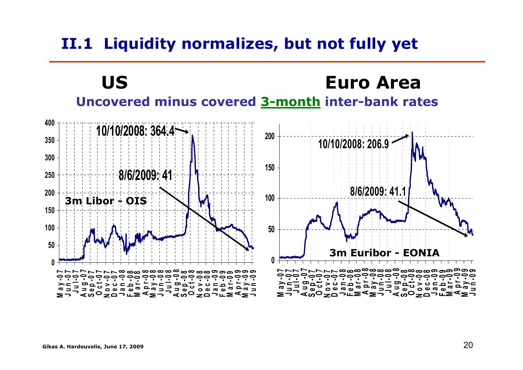### **II.1 Liquidity normalizes, but not fully yet**

**US Euro AreaUncovered minus covered 3-month inter-bank rates**

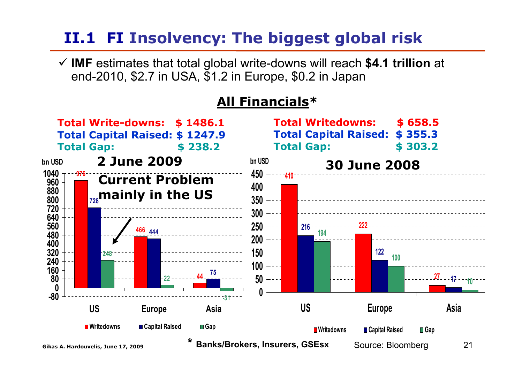### **II.1 FI Insolvency: The biggest global risk**

9 **IMF** estimates that total global write-downs will reach **\$4.1 trillion** at end-2010, \$2.7 in USA, \$1.2 in Europe, \$0.2 in Japan

#### **All Financials\***

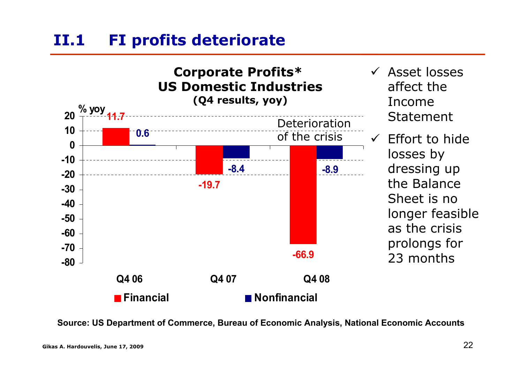#### **ΙI.1FI profits deteriorate**



- $\checkmark$  Asset losses affect the Income Statement
	- Effort to hide losses by dressing up the Balance Sheet is no longer feasible as the crisis prolongs for 23 months

**Source: US Department of Commerce, Bureau of Economic Analysis, National Economic Accounts**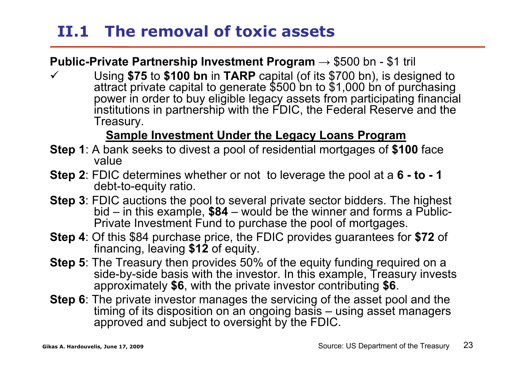### **II.1 The removal of toxic assets**

#### **Public-Private Partnership Investment Program → \$500 bn - \$1 tril**

 $\checkmark$  Using **\$75** to **\$100 bn** in **TARP** capital (of its \$700 bn), is designed to attract private capital to generate \$500 bn to \$1,000 bn of purchasing power in order to buy eligible legacy assets from participating financial institutions in partnership with the FDIC, the Federal Reserve and the Treasury.

#### **Sample Investment Under the Legacy Loans Program**

- **Step 1**: A bank seeks to divest a pool of residential mortgages of **\$100** face value
- **Step 2**: FDIC determines whether or not to leverage the pool at a **6 - to - 1**  debt-to-equity ratio.
- **Step 3**: FDIC auctions the pool to several private sector bidders. The highest bid – in this example, **\$84** – would be the winner and forms a Public-Private Investment Fund to purchase the pool of mortgages.
- **Step 4**: Of this \$84 purchase price, the FDIC provides guarantees for **\$72** of financing, leaving **\$12** of equity.
- **Step 5**: The Treasury then provides 50% of the equity funding required on a side-by-side basis with the investor. In this example, Treasury invests approximately **\$6**, with the private investor contributing **\$6**.
- **Step 6**: The private investor manages the servicing of the asset pool and the timing of its disposition on an ongoing basis – using asset managers approved and subject to oversight by the FDIC.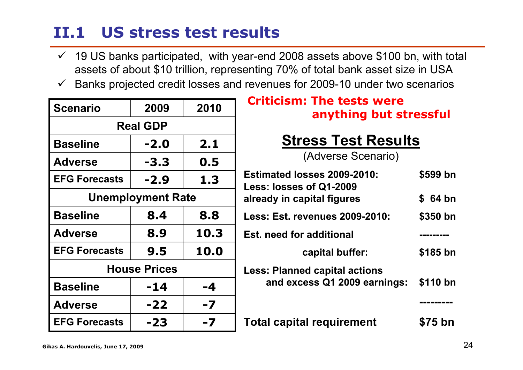### **II.1 US stress test results**

- $\checkmark$  19 US banks participated, with year-end 2008 assets above \$100 bn, with total assets of about \$10 trillion, representing 70% of total bank asset size in USA
- $\checkmark$ Banks projected credit losses and revenues for 2009-10 under two scenarios

| <b>Scenario</b>          | 2009   | 2010 |  |  |  |
|--------------------------|--------|------|--|--|--|
| <b>Real GDP</b>          |        |      |  |  |  |
| <b>Baseline</b>          | -2.0   | 2.1  |  |  |  |
| <b>Adverse</b>           | $-3.3$ | 0.5  |  |  |  |
| <b>EFG Forecasts</b>     | $-2.9$ | 1.3  |  |  |  |
| <b>Unemployment Rate</b> |        |      |  |  |  |
| <b>Baseline</b>          | 8.4    | 8.8  |  |  |  |
| <b>Adverse</b>           | 8.9    | 10.3 |  |  |  |
| <b>EFG Forecasts</b>     | 9.5    | 10.0 |  |  |  |
| <b>House Prices</b>      |        |      |  |  |  |
| <b>Baseline</b>          | -14    | $-4$ |  |  |  |
| <b>Adverse</b>           | $-22$  | -7   |  |  |  |
| <b>EFG Forecasts</b>     | -23    | -7   |  |  |  |

#### **Criticism: The tests were anything but stressful**

### **Stress Test Results**

(Adverse Scenario)

| Estimated losses 2009-2010:<br>Less: losses of Q1-2009               | \$599 bn |
|----------------------------------------------------------------------|----------|
| already in capital figures                                           | \$ 64 bn |
| Less: Est. revenues 2009-2010:                                       | \$350 bn |
| <b>Est. need for additional</b>                                      |          |
| capital buffer:                                                      | \$185 bn |
| <b>Less: Planned capital actions</b><br>and excess Q1 2009 earnings: | \$110 bn |
|                                                                      |          |
| <b>Total capital requirement</b>                                     | \$75 bn  |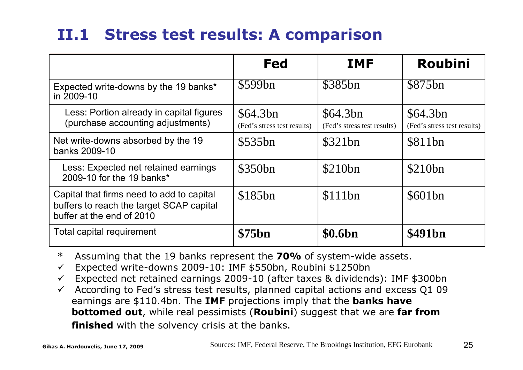### **II.1 Stress test results: A comparison**

|                                                                                                                    | Fed                                     | <b>IMF</b>                              | <b>Roubini</b>                          |
|--------------------------------------------------------------------------------------------------------------------|-----------------------------------------|-----------------------------------------|-----------------------------------------|
| Expected write-downs by the 19 banks*<br>in 2009-10                                                                | \$599bn                                 | \$385bn                                 | \$875bn                                 |
| Less: Portion already in capital figures<br>(purchase accounting adjustments)                                      | \$64.3bn<br>(Fed's stress test results) | \$64.3bn<br>(Fed's stress test results) | \$64.3bn<br>(Fed's stress test results) |
| Net write-downs absorbed by the 19<br>banks 2009-10                                                                | \$535bn                                 | \$321bn                                 | \$811bn                                 |
| Less: Expected net retained earnings<br>2009-10 for the 19 banks*                                                  | \$350bn                                 | \$210bn                                 | \$210bn                                 |
| Capital that firms need to add to capital<br>buffers to reach the target SCAP capital<br>buffer at the end of 2010 | \$185bn                                 | \$111bn                                 | \$601bn                                 |
| <b>Total capital requirement</b>                                                                                   | \$75bn                                  | \$0.6bn                                 | \$491bn                                 |

- \*Assuming that the 19 banks represent the **70%** of system-wide assets.
- $\checkmark$ Expected write-downs 2009-10: IMF \$550bn, Roubini \$1250bn
- $\checkmark$ Expected net retained earnings 2009-10 (after taxes & dividends): IMF \$300bn
- $\checkmark$  According to Fed's stress test results, planned capital actions and excess Q1 09 earnings are \$110.4bn. The **IMF** projections imply that the **banks have bottomed out**, while real pessimists (**Roubini**) suggest that we are **far from finished** with the solvency crisis at the banks.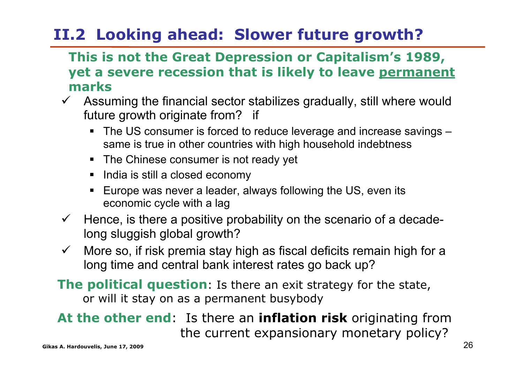## **II.2 Looking ahead: Slower future growth?**

#### **This is not the Great Depression or Capitalism's 1989, yet a severe recession that is likely to leave permanent marks**

- $\checkmark$  Assuming the financial sector stabilizes gradually, still where would future growth originate from? if
	- The US consumer is forced to reduce leverage and increase savings same is true in other countries with high household indebtness
	- The Chinese consumer is not ready yet
	- India is still a closed economy
	- П Europe was never a leader, always following the US, even its economic cycle with a lag
- $\checkmark$  Hence, is there a positive probability on the scenario of a decadelong sluggish global growth?
- $\checkmark$  More so, if risk premia stay high as fiscal deficits remain high for a long time and central bank interest rates go back up?
- **The political question**: Is there an exit strategy for the state, or will it stay on as a permanent busybody

#### **Gikas A. Hardouvelis, June 17, 2009** 26 **At the other end**: Is there an **inflation risk** originating from the current expansionary monetary policy?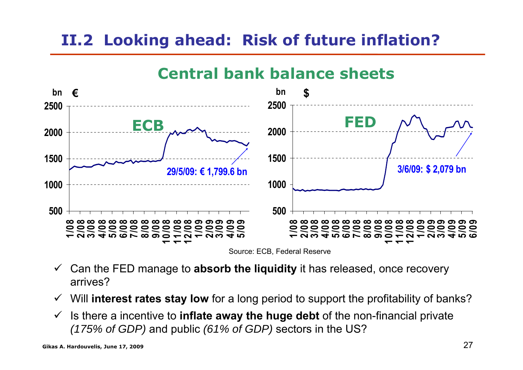### **II.2 Looking ahead: Risk of future inflation?**



#### **Central bank balance sheets**

Source: ECB, Federal Reserve

- $\checkmark$  Can the FED manage to **absorb the liquidity** it has released, once recovery arrives?
- $\checkmark$ Will **interest rates stay low** for a long period to support the profitability of banks?
- $\checkmark$  Is there a incentive to **inflate away the huge debt** of the non-financial private *(175% of GDP)* and public *(61% of GDP)* sectors in the US?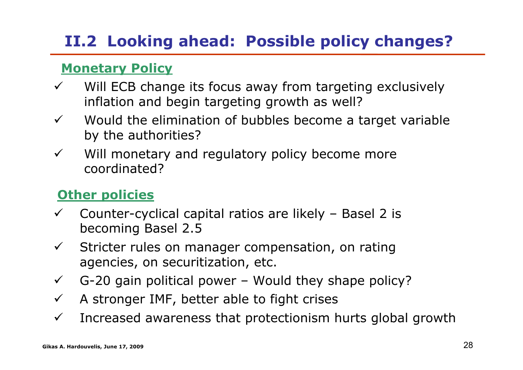## **II.2 Looking ahead: Possible policy changes?**

#### **Monetary Policy**

- $\checkmark$  Will ECB change its focus away from targeting exclusively inflation and begin targeting growth as well?
- $\checkmark$  Would the elimination of bubbles become a target variable by the authorities?
- $\checkmark$  Will monetary and regulatory policy become more coordinated?

#### **Other policies**

- $\checkmark$  Counter-cyclical capital ratios are likely – Basel 2 is becoming Basel 2.5
- $\checkmark$  Stricter rules on manager compensation, on rating agencies, on securitization, etc.
- $\checkmark$ G-20 gain political power – Would they shape policy?
- $\checkmark$ A stronger IMF, better able to fight crises
- $\checkmark$ Increased awareness that protectionism hurts global growth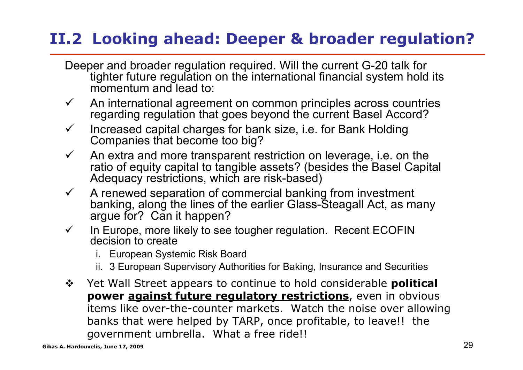### **II.2 Looking ahead: Deeper & broader regulation?**

- Deeper and broader regulation required. Will the current G-20 talk for tighter future regulation on the international financial system hold its momentum and lead to:
- $\checkmark$  An international agreement on common principles across countries regarding regulation that goes beyond the current Basel Accord?
- $\checkmark$  Increased capital charges for bank size, i.e. for Bank Holding Companies that become too big?
- $\checkmark$  An extra and more transparent restriction on leverage, i.e. on the ratio of equity capital to tangible assets? (besides the Basel Capital Adequacy restrictions, which are risk-based)
- $\checkmark$  A renewed separation of commercial banking from investment banking, along the lines of the earlier Glass-Steagall Act, as many argue for? Can it happen?
- $\checkmark$  In Europe, more likely to see tougher regulation. Recent ECOFIN decision to create
	- i. European Systemic Risk Board
	- ii. 3 European Supervisory Authorities for Baking, Insurance and Securities
- $\frac{1}{2}$  Yet Wall Street appears to continue to hold considerable **political power against future regulatory restrictions**, even in obvious items like over-the-counter markets. Watch the noise over allowing banks that were helped by TARP, once profitable, to leave!! the government umbrella. What a free ride!!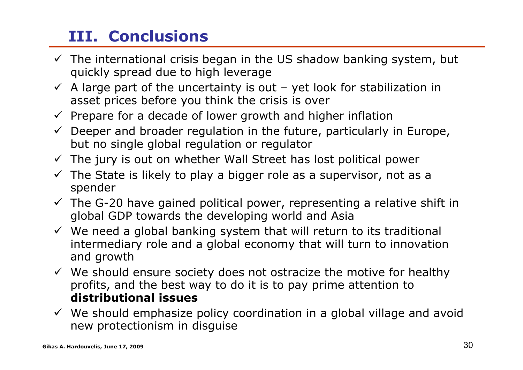## **III. Conclusions**

- $\checkmark$  The international crisis began in the US shadow banking system, but quickly spread due to high leverage
- $\checkmark$  A large part of the uncertainty is out yet look for stabilization in asset prices before you think the crisis is over
- $\checkmark$  Prepare for a decade of lower growth and higher inflation
- $\checkmark$  Deeper and broader regulation in the future, particularly in Europe, but no single global regulation or regulator
- $\checkmark$  The jury is out on whether Wall Street has lost political power
- $\checkmark$  The State is likely to play a bigger role as a supervisor, not as a spender
- $\checkmark$  The G-20 have gained political power, representing a relative shift in global GDP towards the developing world and Asia
- $\checkmark$  We need a global banking system that will return to its traditional intermediary role and a global economy that will turn to innovation and growth
- $\checkmark$  We should ensure society does not ostracize the motive for healthy profits, and the best way to do it is to pay prime attention to **distributional issues**
- $\checkmark$  We should emphasize policy coordination in a global village and avoid new protectionism in disguise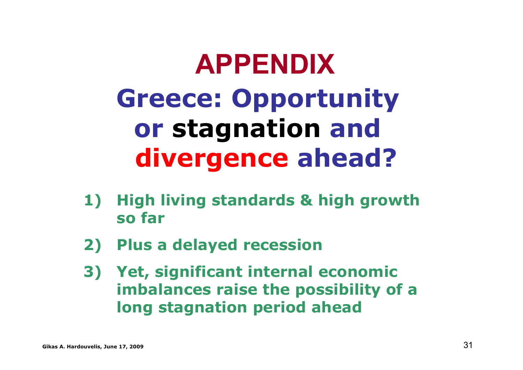# **APPENDIXGreece: Opportunity or stagnation and divergence ahead?**

- **1) High living standards & high growth so far**
- **2) Plus a delayed recession**
- **3) Yet, significant internal economic imbalances raise the possibility of a long stagnation period ahead**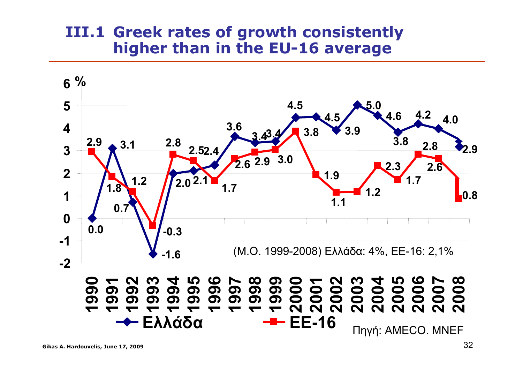#### **III.1 Greek rates of growth consistently higher than in the EU-16 average**

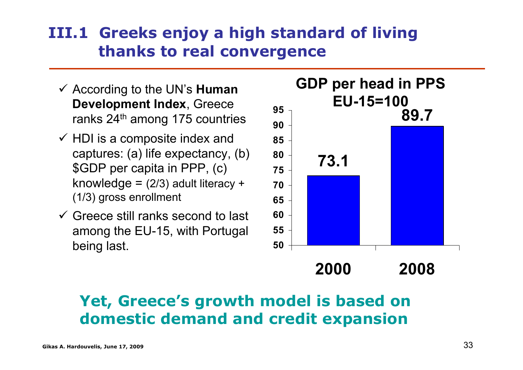### **ΙII.1 Greeks enjoy a high standard of living thanks to real convergence**

- 9 According to the UN's **Human Development Index**, Greece ranks 24<sup>th</sup> among 175 countries
- $\checkmark$  HDI is a composite index and captures: (a) life expectancy, (b) \$GDP per capita in PPP, (c) knowledge =  $(2/3)$  adult literacy + (1/3) gross enrollment
- $\checkmark$  Greece still ranks second to last among the EU-15, with Portugal being last.



**2000 2008**

### **Yet, Greece's growth model is based on domestic demand and credit expansion**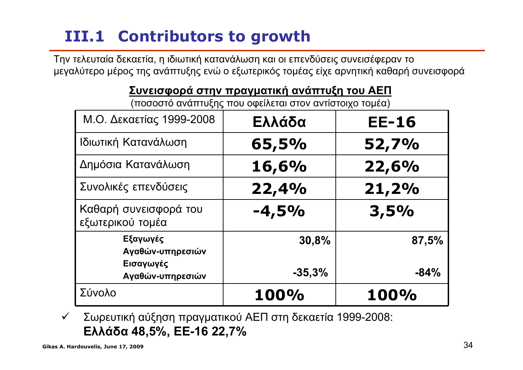## **III.1 Contributors to growth**

Την τελευταία δεκαετία, η ιδιωτική κατανάλωση και οι επενδύσεις συνεισέφεραν το μεγαλύτερο μέρος της ανάπτυξης ενώ <sup>ο</sup> εξωτερικός τομέας είχε αρνητική καθαρή συνεισφορά

#### **Συνεισφορά στην πραγματική ανάπτυξη του ΑΕΠ**

(ποσοστό ανάπτυξης που οφείλεται στον αντίστοιχο τομέα)

| Μ.Ο. Δεκαετίας 1999-2008                  | Ελλάδα   | <b>EE-16</b> |
|-------------------------------------------|----------|--------------|
| Ιδιωτική Κατανάλωση                       | 65,5%    | 52,7%        |
| Δημόσια Κατανάλωση                        | 16,6%    | 22,6%        |
| Συνολικές επενδύσεις                      | 22,4%    | 21,2%        |
| Καθαρή συνεισφορά του<br>εξωτερικού τομέα | $-4,5%$  | 3,5%         |
| Εξαγωγές<br>Αγαθών-υπηρεσιών              | 30,8%    | 87,5%        |
| Εισαγωγές<br>Αγαθών-υπηρεσιών             | $-35,3%$ | $-84%$       |
| Σύνολο                                    | 100%     | 100%         |

 $\checkmark$  Σωρευτική αύξηση πραγματικού ΑΕΠ στη δεκαετία 1999-2008: **Ελλάδα 48,5%, ΕΕ-16 22,7%**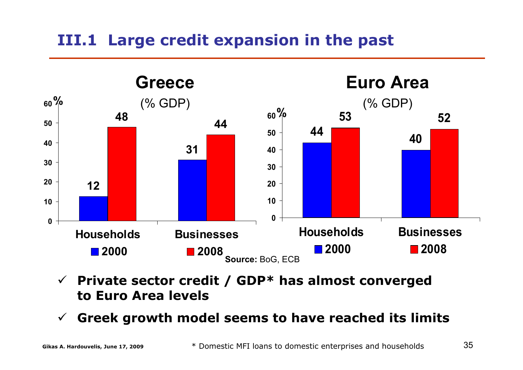### **ΙII.1 Large credit expansion in the past**



- $\checkmark$  **Private sector credit / GDP\* has almost converged to Euro Area levels**
- $\checkmark$ **Greek growth model seems to have reached its limits**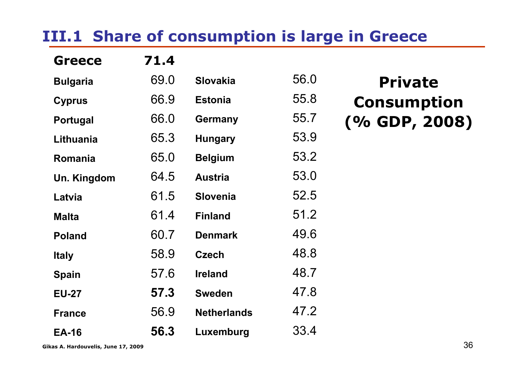### **ΙII.1 Share of consumption is large in Greece**

| <b>Greece</b>   | 71.4 |                    |      |                    |
|-----------------|------|--------------------|------|--------------------|
| <b>Bulgaria</b> | 69.0 | <b>Slovakia</b>    | 56.0 | <b>Private</b>     |
| <b>Cyprus</b>   | 66.9 | <b>Estonia</b>     | 55.8 | <b>Consumption</b> |
| <b>Portugal</b> | 66.0 | <b>Germany</b>     | 55.7 | $( % $ GDP, 2008)  |
| Lithuania       | 65.3 | <b>Hungary</b>     | 53.9 |                    |
| <b>Romania</b>  | 65.0 | <b>Belgium</b>     | 53.2 |                    |
| Un. Kingdom     | 64.5 | <b>Austria</b>     | 53.0 |                    |
| Latvia          | 61.5 | <b>Slovenia</b>    | 52.5 |                    |
| <b>Malta</b>    | 61.4 | <b>Finland</b>     | 51.2 |                    |
| <b>Poland</b>   | 60.7 | <b>Denmark</b>     | 49.6 |                    |
| <b>Italy</b>    | 58.9 | <b>Czech</b>       | 48.8 |                    |
| <b>Spain</b>    | 57.6 | <b>Ireland</b>     | 48.7 |                    |
| <b>EU-27</b>    | 57.3 | <b>Sweden</b>      | 47.8 |                    |
| <b>France</b>   | 56.9 | <b>Netherlands</b> | 47.2 |                    |
| <b>EA-16</b>    | 56.3 | Luxemburg          | 33.4 |                    |

**Gikas A. Hardouvelis, June 17, 2009** 36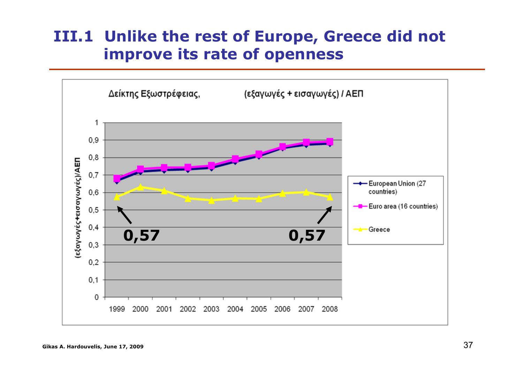#### **III.1 Unlike the rest of Europe, Greece did not improve its rate of openness**

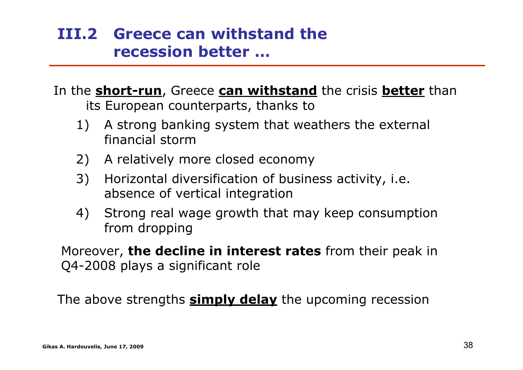#### **ΙΙI.2 Greece can withstand the recession better …**

In the **short-run**, Greece **can withstand** the crisis **better** than its European counterparts, thanks to

- 1) A strong banking system that weathers the external financial storm
- 2) A relatively more closed economy
- 3) Horizontal diversification of business activity, i.e. absence of vertical integration
- 4) Strong real wage growth that may keep consumption from dropping

Moreover, **the decline in interest rates** from their peak in Q4-2008 plays a significant role

The above strengths **simply delay** the upcoming recession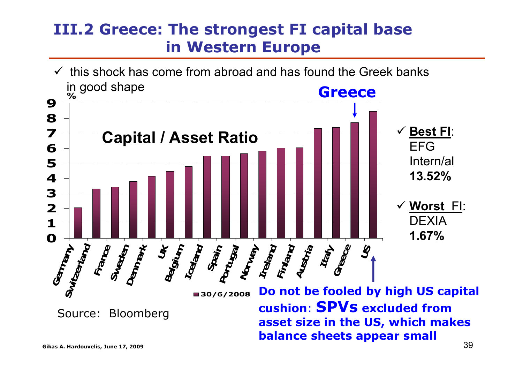#### **ΙII.2 Greece: The strongest FI capital base in Western Europe**

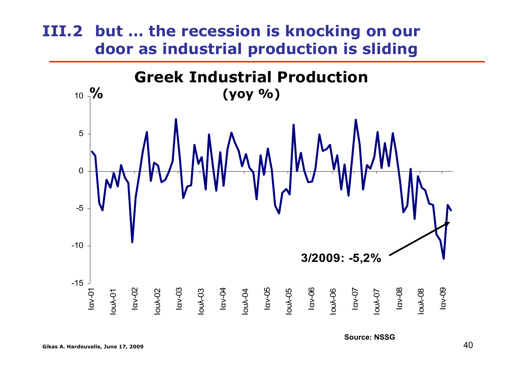#### **ΙII.2 but … the recession is knocking on our door as industrial production is sliding**

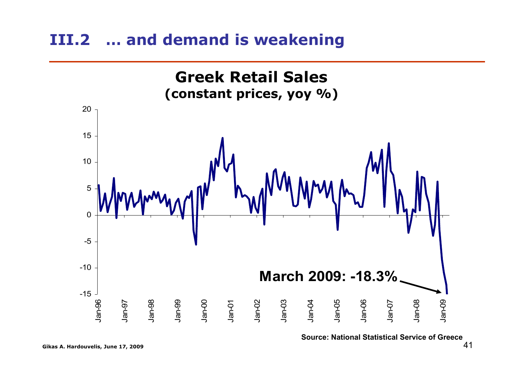#### **ΙΙI.2 … and demand is weakening**



**Source: National Statistical Service of Greece**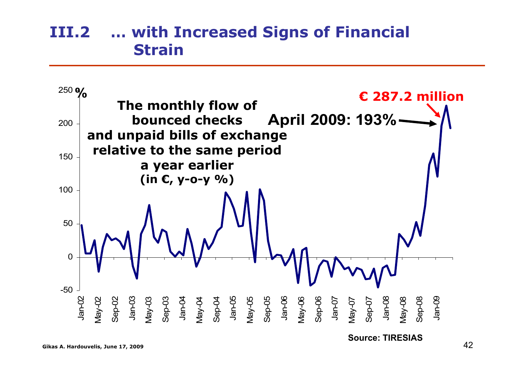#### **ΙΙI.2 … with Increased Signs of Financial Strain**



**Source: TIRESIAS**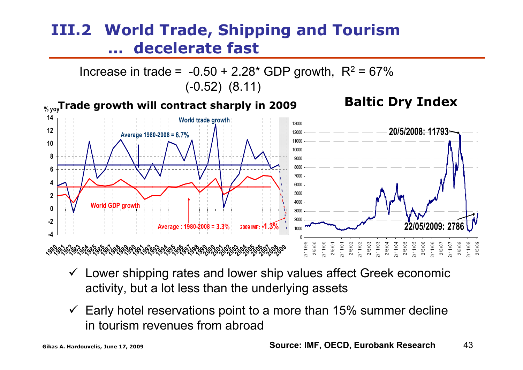#### **ΙΙI.2 World Trade, Shipping and Tourism …decelerate fast**



- $\checkmark$  Lower shipping rates and lower ship values affect Greek economic activity, but a lot less than the underlying assets
- $\checkmark$  Early hotel reservations point to a more than 15% summer decline in tourism revenues from abroad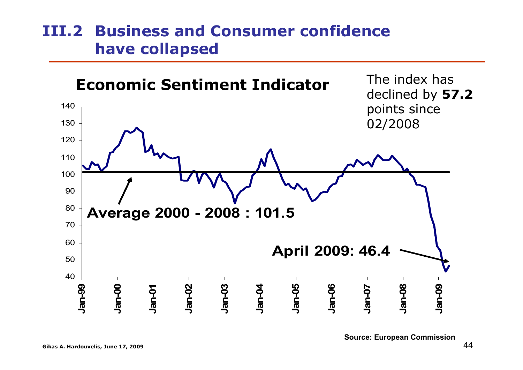#### **ΙII.2 Business and Consumer confidencehave collapsed**

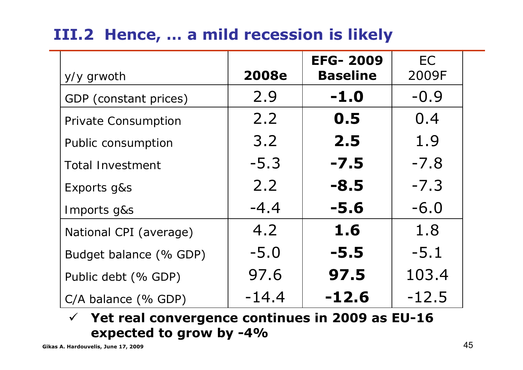### **ΙII.2 Hence, … a mild recession is likely**

| y/y grwoth                 | <b>2008e</b> | <b>EFG-2009</b><br><b>Baseline</b> | <b>EC</b><br>2009F |
|----------------------------|--------------|------------------------------------|--------------------|
| GDP (constant prices)      | 2.9          | $-1.0$                             | $-0.9$             |
| <b>Private Consumption</b> | 2.2          | 0.5                                | 0.4                |
| <b>Public consumption</b>  | 3.2          | 2.5                                | 1.9                |
| <b>Total Investment</b>    | $-5.3$       | $-7.5$                             | $-7.8$             |
| Exports g&s                | 2.2          | $-8.5$                             | $-7.3$             |
| Imports g&s                | $-4.4$       | $-5.6$                             | $-6.0$             |
| National CPI (average)     | 4.2          | 1.6                                | 1.8                |
| Budget balance (% GDP)     | $-5.0$       | $-5.5$                             | $-5.1$             |
| Public debt (% GDP)        | 97.6         | 97.5                               | 103.4              |
| $C/A$ balance (% GDP)      | $-14.4$      | $-12.6$                            | $-12.5$            |

9 **Yet real convergence continues in 2009 as EU-16 expected to grow by -4%**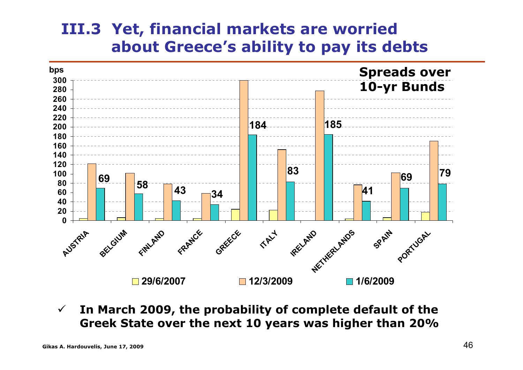#### **III.3 Yet, financial markets are worried about Greece's ability to pay its debts**



 $\checkmark$  **In March 2009, the probability of complete default of the Greek State over the next 10 years was higher than 20%**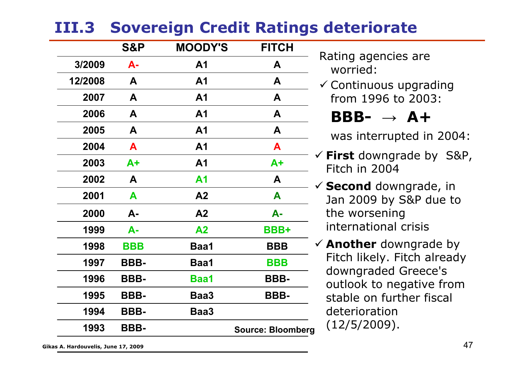### **ΙII.3 Sovereign Credit Ratings deteriorate**

|         | <b>S&amp;P</b> | <b>MOODY'S</b> | <b>FITCH</b>             |
|---------|----------------|----------------|--------------------------|
| 3/2009  | <b>A-</b>      | A <sub>1</sub> | A                        |
| 12/2008 | A              | A <sub>1</sub> | A                        |
| 2007    | A              | A <sub>1</sub> | A                        |
| 2006    | A              | A <sub>1</sub> | A                        |
| 2005    | A              | A <sub>1</sub> | A                        |
| 2004    | A              | A <sub>1</sub> | A                        |
| 2003    | A+             | A <sub>1</sub> | $A+$                     |
| 2002    | A              | Α1             | A                        |
| 2001    | A              | A2             | A                        |
| 2000    | A-             | A2             | $A -$                    |
| 1999    | $A -$          | A <sub>2</sub> | <b>BBB+</b>              |
| 1998    | <b>BBB</b>     | Baa1           | <b>BBB</b>               |
| 1997    | BBB-           | Baa1           | <b>BBB</b>               |
| 1996    | BBB-           | <b>Baa1</b>    | BBB-                     |
| 1995    | BBB-           | Baa3           | BBB-                     |
| 1994    | BBB-           | Baa3           |                          |
| 1993    | BBB-           |                | <b>Source: Bloomberg</b> |

Rating agencies are worried:

 $\checkmark$  Continuous upgrading from 1996 to 2003:

#### **ΒΒΒ- → Α+**

was interrupted in 2004:

- 9 **First** downgrade by S&P, Fitch in 2004
- 9 **Second** downgrade, in Jan 2009 by S&P due to the worsening international crisis
- 9 **Another** downgrade by Fitch likely. Fitch already downgraded Greece's outlook to negative from stable on further fiscaldeterioration(12/5/2009).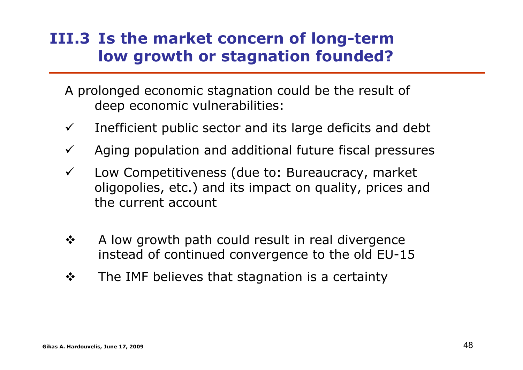#### **ΙII.3 Is the market concern of long-term low growth or stagnation founded?**

- A prolonged economic stagnation could be the result of deep economic vulnerabilities:
- $\checkmark$ Inefficient public sector and its large deficits and debt
- $\checkmark$ Aging population and additional future fiscal pressures
- $\checkmark$  Low Competitiveness (due to: Bureaucracy, market oligopolies, etc.) and its impact on quality, prices and the current account
- $\frac{1}{2}$  A low growth path could result in real divergence instead of continued convergence to the old EU-15
- $\frac{1}{2}$ The IMF believes that stagnation is a certainty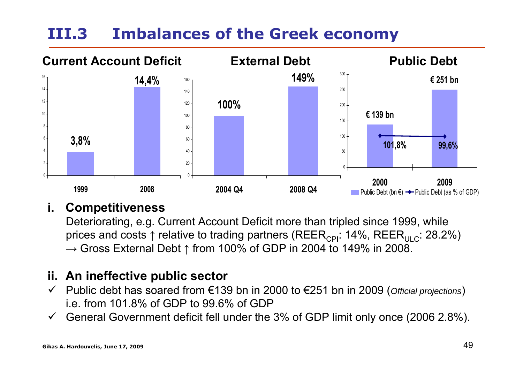#### **ΙΙI.3Imbalances of the Greek economy**



#### **i.Competitiveness**

Deteriorating, e.g. Current Account Deficit more than tripled since 1999, while prices and costs  $\uparrow$  relative to trading partners (REER<sub>CPI</sub>: 14%, REER<sub>ULC</sub>: 28.2%)  $\rightarrow$  Gross External Debt  $\uparrow$  from 100% of GDP in 2004 to 149% in 2008.

#### **ii. An ineffective public sector**

- $\checkmark$  Public debt has soared from €139 bn in 2000 to €251 bn in 2009 (*Official projections*) i.e. from 101.8% of GDP to 99.6% of GDP
- $\checkmark$ General Government deficit fell under the 3% of GDP limit only once (2006 2.8%).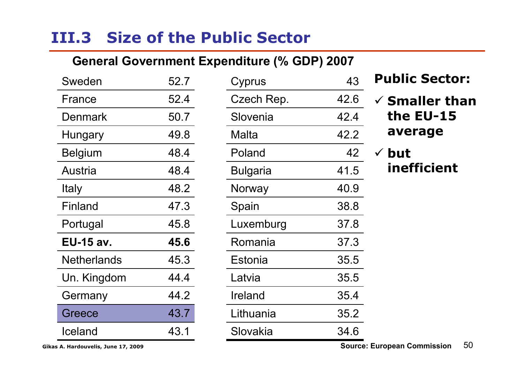## **III.3 Size of the Public Sector**

#### **General Government Expenditure (% GDP) 2007**

| Sweden           | 52.7 |
|------------------|------|
| France           | 52.4 |
| Denmark          | 50.7 |
| <b>Hungary</b>   | 49.8 |
| <b>Belgium</b>   | 48.4 |
| Austria          | 48.4 |
| Italy            | 48.2 |
| Finland          | 47.3 |
| Portugal         | 45.8 |
| <b>EU-15 av.</b> | 45.6 |
| Netherlands      | 45.3 |
| Un. Kingdom      | 44.4 |
| Germany          | 44.2 |
| Greece           | 43.7 |
| Iceland          |      |

| Cyprus     | 43   |
|------------|------|
| Czech Rep. | 42.6 |
| Slovenia   | 42.4 |
| Malta      | 42.2 |
| Poland     | 42   |
| Bulgaria   | 41.5 |
| Norway     | 40.9 |
| Spain      | 38.8 |
| Luxemburg  | 37.8 |
| Romania    | 37.3 |
| Estonia    | 35.5 |
| Latvia     | 35.5 |
| Ireland    | 35.4 |
| Lithuania  | 35.2 |
| Slovakia   | 34.6 |

#### **Public Sector:**

9 **Smaller than the EU-15 average**

√ but **inefficient**

**Gikas A. Hardouvelis, June 17, 2009** 50 **Source: European Commission**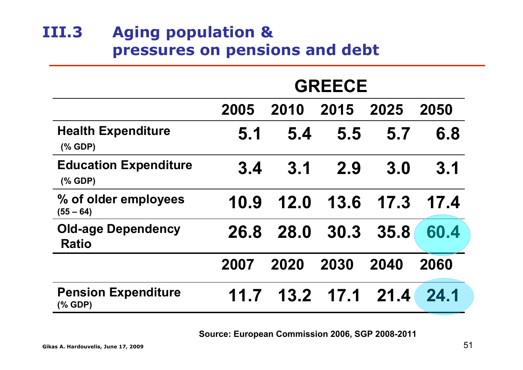#### **ΙII.3 Aging population & pressures on pensions and debt**

|                                                                       | <b>GREECE</b> |             |      |      |      |
|-----------------------------------------------------------------------|---------------|-------------|------|------|------|
|                                                                       | 2005          | 2010        | 2015 | 2025 | 2050 |
| <b>Health Expenditure</b><br>$(\%$ GDP)                               | 5.1           | 5.4         | 5.5  | 5.7  | 6.8  |
| <b>Education Expenditure</b><br>$(% \mathcal{L}_{0}^{\infty}$ (% GDP) | 3.4           | 3.1         | 2.9  | 3.0  | 3.1  |
| % of older employees<br>$(55 - 64)$                                   | 10.9          | 12.0        | 13.6 | 17.3 | 17.4 |
| <b>Old-age Dependency</b><br><b>Ratio</b>                             | 26.8          | <b>28.0</b> | 30.3 | 35.8 | 60.4 |
|                                                                       | 2007          | 2020        | 2030 | 2040 | 2060 |
| <b>Pension Expenditure</b><br>(% GDP)                                 | 11.7          | 13.2        | 17.1 | 21.4 | 24.1 |

**Source: European Commission 2006, SGP 2008-2011**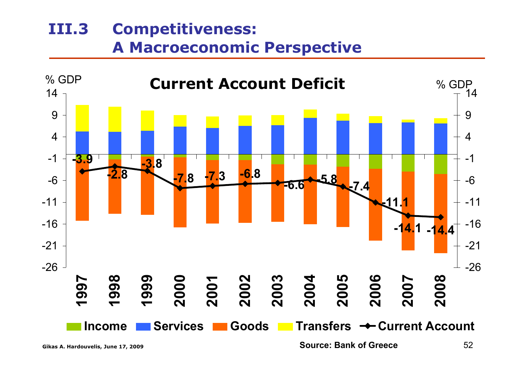#### **ΙΙI.3 Competitiveness: A Macroeconomic Perspective**



**Gikas A. Hardouvelis, June 17, 2009** 52 **Source: Bank of Greece**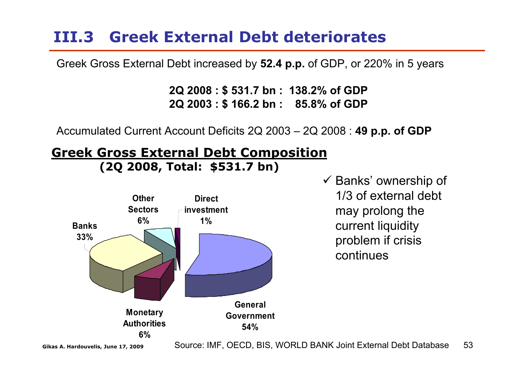### **ΙΙI.3 Greek External Debt deteriorates**

Greek Gross External Debt increased by **52.4 p.p.** of GDP, or 220% in 5 years

**2Q 2008 : \$ 531.7 bn : 138.2% of GDP 2Q 2003 : \$ 166.2 bn : 85.8% of GDP**

Accumulated Current Account Deficits 2Q 2003 – 2Q 2008 : **49 p.p. of GDP**

#### **Greek Gross External Debt Composition (2Q 2008, Total: \$531.7 bn)**



 $\checkmark$  Banks' ownership of 1/3 of external debt may prolong the current liquidity problem if crisis continues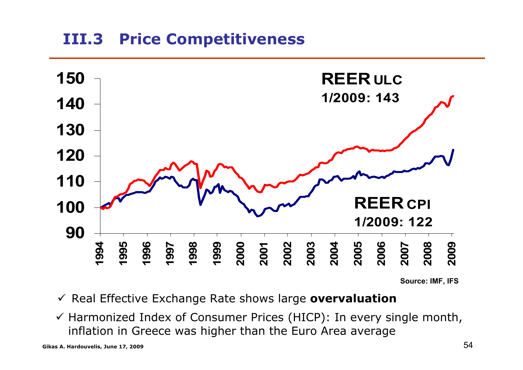#### **ΙII.3Price Competitiveness**



**Source: IMF, IFS**

- 9 Real Effective Exchange Rate shows large **overvaluation**
- $\checkmark$  Harmonized Index of Consumer Prices (HICP): In every single month, inflation in Greece was higher than the Euro Area average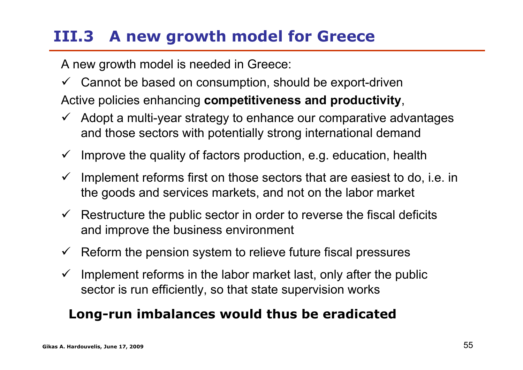## **ΙΙI.3 A new growth model for Greece**

A new growth model is needed in Greece:

- $\checkmark$  Cannot be based on consumption, should be export-driven Active policies enhancing **competitiveness and productivity**,
- $\checkmark$  Adopt a multi-year strategy to enhance our comparative advantages and those sectors with potentially strong international demand
- $\checkmark$ Improve the quality of factors production, e.g. education, health
- $\checkmark$  Implement reforms first on those sectors that are easiest to do, i.e. in the goods and services markets, and not on the labor market
- $\checkmark$  Restructure the public sector in order to reverse the fiscal deficits and improve the business environment
- $\checkmark$ Reform the pension system to relieve future fiscal pressures
- $\checkmark$  Implement reforms in the labor market last, only after the public sector is run efficiently, so that state supervision works

#### **Long-run imbalances would thus be eradicated**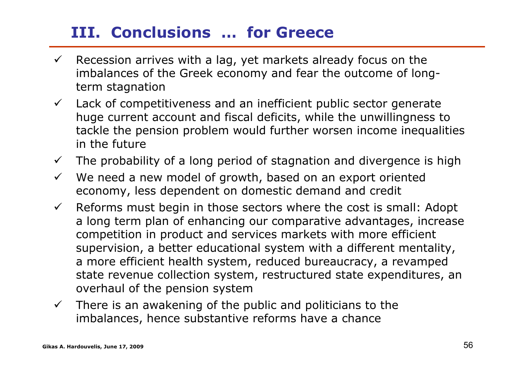### **III. Conclusions … for Greece**

- $\checkmark$  Recession arrives with a lag, yet markets already focus on the imbalances of the Greek economy and fear the outcome of longterm stagnation
- $\checkmark$  Lack of competitiveness and an inefficient public sector generate huge current account and fiscal deficits, while the unwillingness to tackle the pension problem would further worsen income inequalities in the future
- $\checkmark$ The probability of a long period of stagnation and divergence is high
- $\checkmark$  We need a new model of growth, based on an export oriented economy, less dependent on domestic demand and credit
- $\checkmark$  Reforms must begin in those sectors where the cost is small: Adopt a long term plan of enhancing our comparative advantages, increase competition in product and services markets with more efficient supervision, a better educational system with a different mentality, a more efficient health system, reduced bureaucracy, a revamped state revenue collection system, restructured state expenditures, an overhaul of the pension system
- $\checkmark$  There is an awakening of the public and politicians to the imbalances, hence substantive reforms have a chance